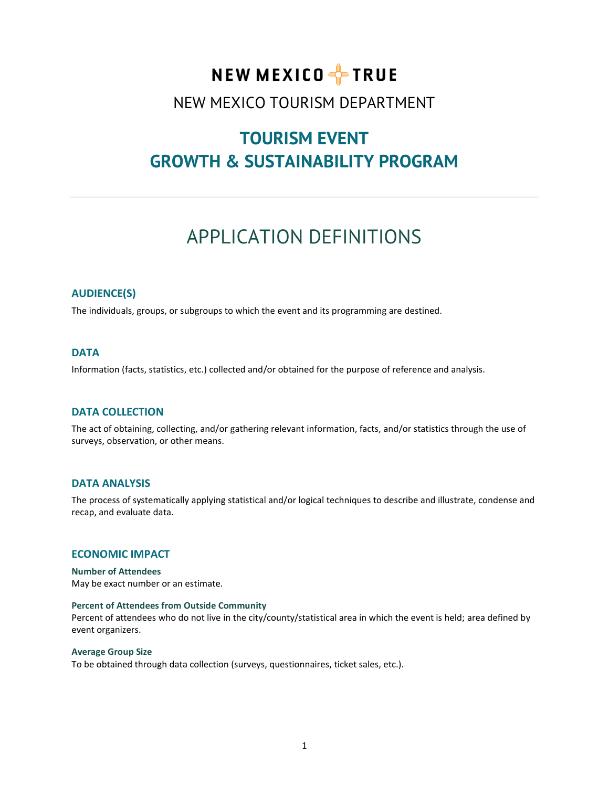# NEW MEXICO FFIRUE

# NEW MEXICO TOURISM DEPARTMENT

# **TOURISM EVENT GROWTH & SUSTAINABILITY PROGRAM**

# APPLICATION DEFINITIONS

# **AUDIENCE(S)**

The individuals, groups, or subgroups to which the event and its programming are destined.

# **DATA**

Information (facts, statistics, etc.) collected and/or obtained for the purpose of reference and analysis.

# **DATA COLLECTION**

The act of obtaining, collecting, and/or gathering relevant information, facts, and/or statistics through the use of surveys, observation, or other means.

#### **DATA ANALYSIS**

The process of systematically applying statistical and/or logical techniques to describe and illustrate, condense and recap, and evaluate data.

# **ECONOMIC IMPACT**

**Number of Attendees** May be exact number or an estimate.

#### **Percent of Attendees from Outside Community**

Percent of attendees who do not live in the city/county/statistical area in which the event is held; area defined by event organizers.

#### **Average Group Size**

To be obtained through data collection (surveys, questionnaires, ticket sales, etc.).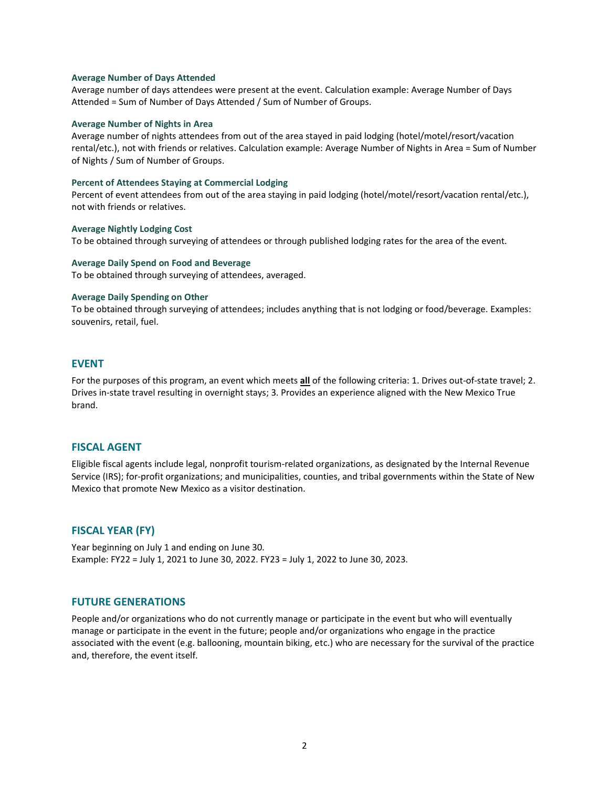#### **Average Number of Days Attended**

Average number of days attendees were present at the event. Calculation example: Average Number of Days Attended = Sum of Number of Days Attended / Sum of Number of Groups.

#### **Average Number of Nights in Area**

Average number of nights attendees from out of the area stayed in paid lodging (hotel/motel/resort/vacation rental/etc.), not with friends or relatives. Calculation example: Average Number of Nights in Area = Sum of Number of Nights / Sum of Number of Groups.

#### **Percent of Attendees Staying at Commercial Lodging**

Percent of event attendees from out of the area staying in paid lodging (hotel/motel/resort/vacation rental/etc.), not with friends or relatives.

**Average Nightly Lodging Cost** To be obtained through surveying of attendees or through published lodging rates for the area of the event.

#### **Average Daily Spend on Food and Beverage**

To be obtained through surveying of attendees, averaged.

#### **Average Daily Spending on Other**

To be obtained through surveying of attendees; includes anything that is not lodging or food/beverage. Examples: souvenirs, retail, fuel.

#### **EVENT**

For the purposes of this program, an event which meets **all** of the following criteria: 1. Drives out-of-state travel; 2. Drives in-state travel resulting in overnight stays; 3. Provides an experience aligned with the New Mexico True brand.

# **FISCAL AGENT**

Eligible fiscal agents include legal, nonprofit tourism-related organizations, as designated by the Internal Revenue Service (IRS); for-profit organizations; and municipalities, counties, and tribal governments within the State of New Mexico that promote New Mexico as a visitor destination.

# **FISCAL YEAR (FY)**

Year beginning on July 1 and ending on June 30. Example: FY22 = July 1, 2021 to June 30, 2022. FY23 = July 1, 2022 to June 30, 2023.

### **FUTURE GENERATIONS**

People and/or organizations who do not currently manage or participate in the event but who will eventually manage or participate in the event in the future; people and/or organizations who engage in the practice associated with the event (e.g. ballooning, mountain biking, etc.) who are necessary for the survival of the practice and, therefore, the event itself.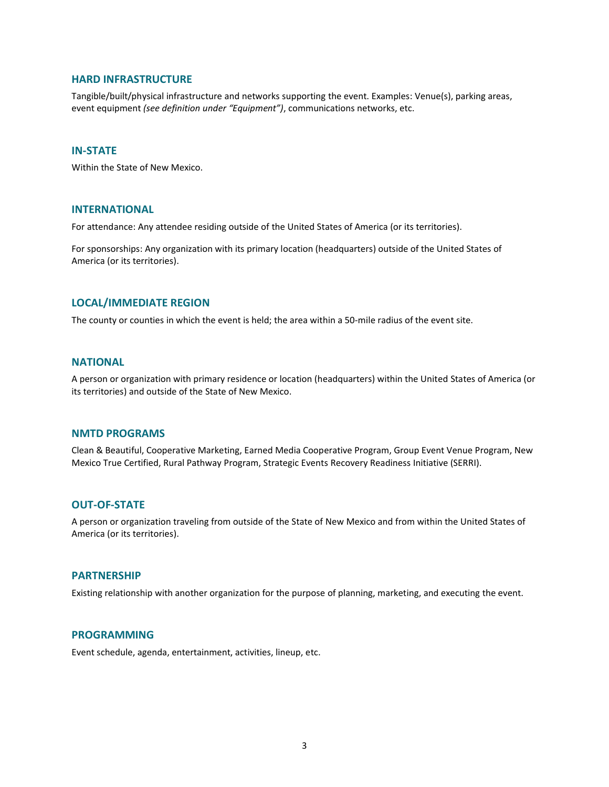### **HARD INFRASTRUCTURE**

Tangible/built/physical infrastructure and networks supporting the event. Examples: Venue(s), parking areas, event equipment *(see definition under "Equipment")*, communications networks, etc.

#### **IN-STATE**

Within the State of New Mexico.

#### **INTERNATIONAL**

For attendance: Any attendee residing outside of the United States of America (or its territories).

For sponsorships: Any organization with its primary location (headquarters) outside of the United States of America (or its territories).

### **LOCAL/IMMEDIATE REGION**

The county or counties in which the event is held; the area within a 50-mile radius of the event site.

#### **NATIONAL**

A person or organization with primary residence or location (headquarters) within the United States of America (or its territories) and outside of the State of New Mexico.

# **NMTD PROGRAMS**

Clean & Beautiful, Cooperative Marketing, Earned Media Cooperative Program, Group Event Venue Program, New Mexico True Certified, Rural Pathway Program, Strategic Events Recovery Readiness Initiative (SERRI).

# **OUT-OF-STATE**

A person or organization traveling from outside of the State of New Mexico and from within the United States of America (or its territories).

# **PARTNERSHIP**

Existing relationship with another organization for the purpose of planning, marketing, and executing the event.

# **PROGRAMMING**

Event schedule, agenda, entertainment, activities, lineup, etc.